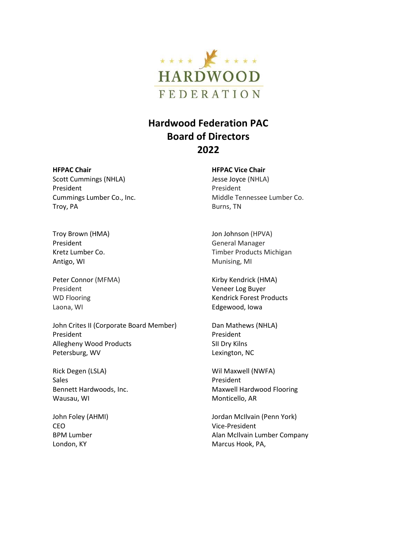

## **Hardwood Federation PAC Board of Directors 2022**

## **HFPAC Chair**

Scott Cummings (NHLA) President Cummings Lumber Co., Inc. Troy, PA

Troy Brown (HMA) President Kretz Lumber Co. Antigo, WI

Peter Connor (MFMA) President WD Flooring Laona, WI

John Crites II (Corporate Board Member) President Allegheny Wood Products Petersburg, WV

Rick Degen (LSLA) Sales Bennett Hardwoods, Inc. Wausau, WI

John Foley (AHMI) CEO BPM Lumber London, KY

**HFPAC Vice Chair**

Jesse Joyce (NHLA) President Middle Tennessee Lumber Co. Burns, TN

Jon Johnson (HPVA) General Manager Timber Products Michigan Munising, MI

Kirby Kendrick (HMA) Veneer Log Buyer Kendrick Forest Products Edgewood, Iowa

Dan Mathews (NHLA) President SII Dry Kilns Lexington, NC

Wil Maxwell (NWFA) President Maxwell Hardwood Flooring Monticello, AR

Jordan McIlvain (Penn York) Vice-President Alan McIlvain Lumber Company Marcus Hook, PA,